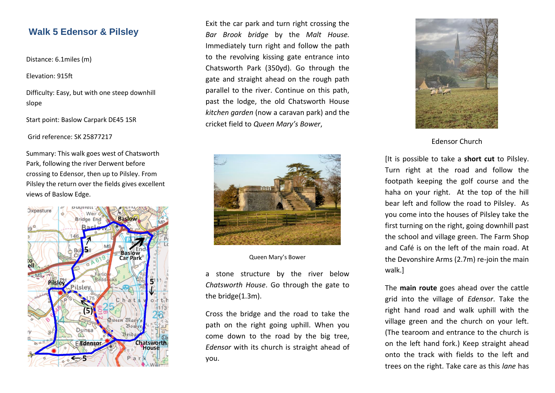# **Walk 5 Edensor & Pilsley**

Distance: 6.1miles (m)

Elevation: 915ft

Difficulty: Easy, but with one steep downhill slope

Start point: Baslow Carpark DE45 1SR

Grid reference: SK 25877217

Summary: This walk goes west of Chatsworth Park, following the river Derwent before crossing to Edensor, then up to Pilsley. From Pilsley the return over the fields gives excellent views of Baslow Edge.



Exit the car park and turn right crossing the *Bar Brook bridge* by the *Malt House.*  Immediately turn right and follow the path to the revolving kissing gate entrance into Chatsworth Park (350yd). Go through the gate and straight ahead on the rough path parallel to the river. Continue on this path, past the lodge, the old Chatsworth House *kitchen garden* (now a caravan park) and the cricket field to *Queen Mary's Bower*,



Queen Mary's Bower

a stone structure by the river below *Chatsworth House*. Go through the gate to the bridge(1.3m).

Cross the bridge and the road to take the path on the right going uphill. When you come down to the road by the big tree, *Edensor* with its church is straight ahead of you.



Edensor Church

[It is possible to take a **short cut** to Pilsley. Turn right at the road and follow the footpath keeping the golf course and the haha on your right. At the top of the hill bear left and follow the road to Pilsley. As you come into the houses of Pilsley take the first turning on the right, going downhill past the school and village green. The Farm Shop and Café is on the left of the main road. At the Devonshire Arms (2.7m) re-join the main walk.]

The **main route** goes ahead over the cattle grid into the village of *Edensor*. Take the right hand road and walk uphill with the village green and the church on your left. (The tearoom and entrance to the church is on the left hand fork.) Keep straight ahead onto the track with fields to the left and trees on the right. Take care as this *lane* has